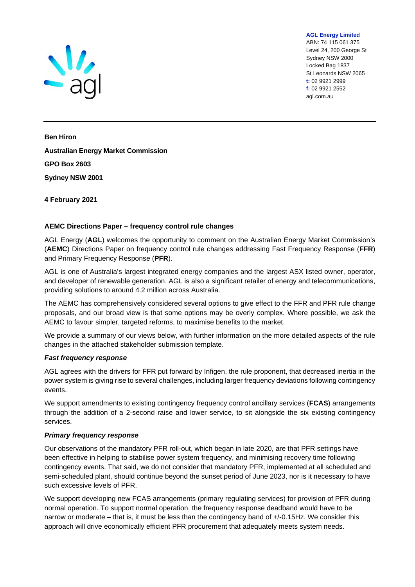

ABN: 74 115 061 375 Level 24, 200 George St Sydney NSW 2000 Locked Bag 1837 St Leonards NSW 2065 **t:** 02 9921 2999 **f:** 02 9921 2552 agl.com.au

**AGL Energy Limited** 

**Ben Hiron Australian Energy Market Commission GPO Box 2603 Sydney NSW 2001** 

#### **4 February 2021**

# **AEMC Directions Paper – frequency control rule changes**

AGL Energy (**AGL**) welcomes the opportunity to comment on the Australian Energy Market Commission's (**AEMC**) Directions Paper on frequency control rule changes addressing Fast Frequency Response (**FFR**) and Primary Frequency Response (**PFR**).

AGL is one of Australia's largest integrated energy companies and the largest ASX listed owner, operator, and developer of renewable generation. AGL is also a significant retailer of energy and telecommunications, providing solutions to around 4.2 million across Australia.

The AEMC has comprehensively considered several options to give effect to the FFR and PFR rule change proposals, and our broad view is that some options may be overly complex. Where possible, we ask the AEMC to favour simpler, targeted reforms, to maximise benefits to the market.

We provide a summary of our views below, with further information on the more detailed aspects of the rule changes in the attached stakeholder submission template.

#### *Fast frequency response*

AGL agrees with the drivers for FFR put forward by Infigen, the rule proponent, that decreased inertia in the power system is giving rise to several challenges, including larger frequency deviations following contingency events.

We support amendments to existing contingency frequency control ancillary services (**FCAS**) arrangements through the addition of a 2-second raise and lower service, to sit alongside the six existing contingency services.

#### *Primary frequency response*

Our observations of the mandatory PFR roll-out, which began in late 2020, are that PFR settings have been effective in helping to stabilise power system frequency, and minimising recovery time following contingency events. That said, we do not consider that mandatory PFR, implemented at all scheduled and semi-scheduled plant, should continue beyond the sunset period of June 2023, nor is it necessary to have such excessive levels of PFR.

We support developing new FCAS arrangements (primary regulating services) for provision of PFR during normal operation. To support normal operation, the frequency response deadband would have to be narrow or moderate – that is, it must be less than the contingency band of +/-0.15Hz. We consider this approach will drive economically efficient PFR procurement that adequately meets system needs.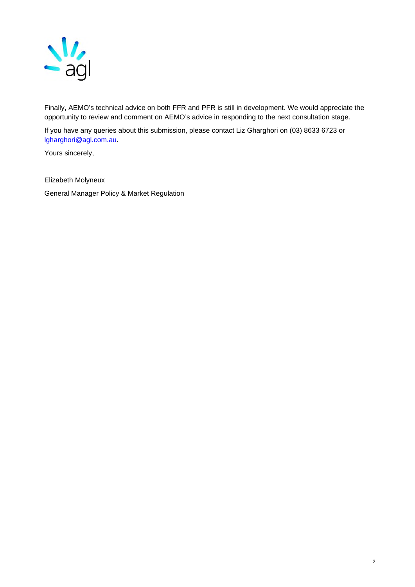

Finally, AEMO's technical advice on both FFR and PFR is still in development. We would appreciate the opportunity to review and comment on AEMO's advice in responding to the next consultation stage.

If you have any queries about this submission, please contact Liz Gharghori on (03) 8633 6723 or [lgharghori@agl.com.au.](mailto:lgharghori@agl.com.au)

Yours sincerely,

Elizabeth Molyneux

General Manager Policy & Market Regulation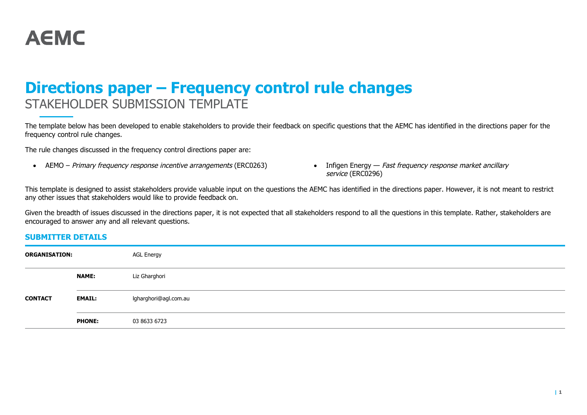

# **Directions paper – Frequency control rule changes**  STAKEHOLDER SUBMISSION TEMPLATE

The template below has been developed to enable stakeholders to provide their feedback on specific questions that the AEMC has identified in the directions paper for the frequency control rule changes.

The rule changes discussed in the frequency control directions paper are:

- AEMO Primary frequency response incentive arrangements (ERC0263) Infigen Energy Fast frequency response market ancillary
- service (ERC0296)

This template is designed to assist stakeholders provide valuable input on the questions the AEMC has identified in the directions paper. However, it is not meant to restrict any other issues that stakeholders would like to provide feedback on.

Given the breadth of issues discussed in the directions paper, it is not expected that all stakeholders respond to all the questions in this template. Rather, stakeholders are encouraged to answer any and all relevant questions.

#### **SUBMITTER DETAILS**

| <b>ORGANISATION:</b> |               | <b>AGL Energy</b>     |
|----------------------|---------------|-----------------------|
|                      | <b>NAME:</b>  | Liz Gharghori         |
| <b>CONTACT</b>       | <b>EMAIL:</b> | lgharghori@agl.com.au |
|                      | <b>PHONE:</b> | 03 8633 6723          |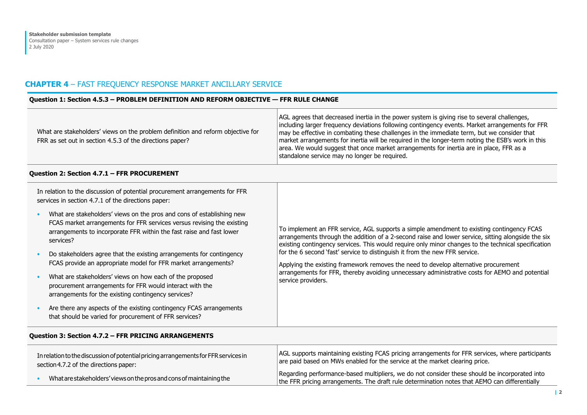# **CHAPTER 4** – FAST FREQUENCY RESPONSE MARKET ANCILLARY SERVICE

#### **Question 1: Section 4.5.3 – PROBLEM DEFINITION AND REFORM OBJECTIVE — FFR RULE CHANGE**

| What are stakeholders' views on the problem definition and reform objective for<br>FRR as set out in section 4.5.3 of the directions paper?                                                                                                       | AGL agrees that decreased inertia in the power system is giving rise to several challenges,<br>including larger frequency deviations following contingency events. Market arrangements for FFR<br>may be effective in combating these challenges in the immediate term, but we consider that<br>market arrangements for inertia will be required in the longer-term noting the ESB's work in this<br>area. We would suggest that once market arrangements for inertia are in place, FFR as a<br>standalone service may no longer be required.                                                        |  |
|---------------------------------------------------------------------------------------------------------------------------------------------------------------------------------------------------------------------------------------------------|------------------------------------------------------------------------------------------------------------------------------------------------------------------------------------------------------------------------------------------------------------------------------------------------------------------------------------------------------------------------------------------------------------------------------------------------------------------------------------------------------------------------------------------------------------------------------------------------------|--|
| Question 2: Section 4.7.1 - FFR PROCUREMENT                                                                                                                                                                                                       |                                                                                                                                                                                                                                                                                                                                                                                                                                                                                                                                                                                                      |  |
| In relation to the discussion of potential procurement arrangements for FFR<br>services in section 4.7.1 of the directions paper:                                                                                                                 |                                                                                                                                                                                                                                                                                                                                                                                                                                                                                                                                                                                                      |  |
| What are stakeholders' views on the pros and cons of establishing new<br>$\bullet$<br>FCAS market arrangements for FFR services versus revising the existing<br>arrangements to incorporate FFR within the fast raise and fast lower<br>services? | To implement an FFR service, AGL supports a simple amendment to existing contingency FCAS<br>arrangements through the addition of a 2-second raise and lower service, sitting alongside the six<br>existing contingency services. This would require only minor changes to the technical specification<br>for the 6 second 'fast' service to distinguish it from the new FFR service.<br>Applying the existing framework removes the need to develop alternative procurement<br>arrangements for FFR, thereby avoiding unnecessary administrative costs for AEMO and potential<br>service providers. |  |
| Do stakeholders agree that the existing arrangements for contingency<br>FCAS provide an appropriate model for FFR market arrangements?                                                                                                            |                                                                                                                                                                                                                                                                                                                                                                                                                                                                                                                                                                                                      |  |
| What are stakeholders' views on how each of the proposed<br>procurement arrangements for FFR would interact with the<br>arrangements for the existing contingency services?                                                                       |                                                                                                                                                                                                                                                                                                                                                                                                                                                                                                                                                                                                      |  |
| Are there any aspects of the existing contingency FCAS arrangements<br>$\bullet$<br>that should be varied for procurement of FFR services?                                                                                                        |                                                                                                                                                                                                                                                                                                                                                                                                                                                                                                                                                                                                      |  |
| <b>Ouestion 3: Section 4.7.2 - FFR PRICING ARRANGEMENTS</b>                                                                                                                                                                                       |                                                                                                                                                                                                                                                                                                                                                                                                                                                                                                                                                                                                      |  |

| In relation to the discussion of potential pricing arrangements for FFR services in | AGL supports maintaining existing FCAS pricing arrangements for FFR services, where participants                                                                                               |
|-------------------------------------------------------------------------------------|------------------------------------------------------------------------------------------------------------------------------------------------------------------------------------------------|
| section 4.7.2 of the directions paper:                                              | are paid based on MWs enabled for the service at the market clearing price.                                                                                                                    |
| What are stakeholders' views on the pros and cons of maintaining the                | Regarding performance-based multipliers, we do not consider these should be incorporated into<br>the FFR pricing arrangements. The draft rule determination notes that AEMO can differentially |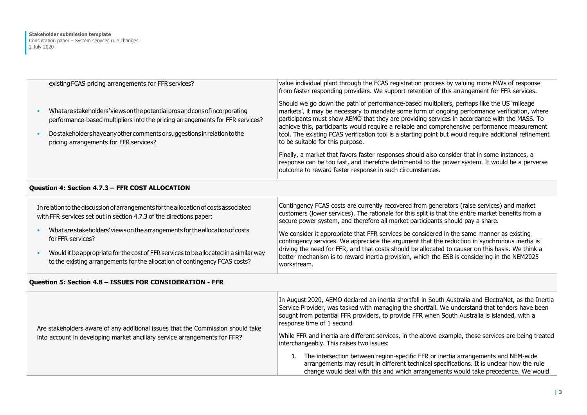| existing FCAS pricing arrangements for FFR services?                                                                                                                                                                                                                                | value individual plant through the FCAS registration process by valuing more MWs of response<br>from faster responding providers. We support retention of this arrangement for FFR services.                                                                                                                                                                                                                                                                                                                                              |
|-------------------------------------------------------------------------------------------------------------------------------------------------------------------------------------------------------------------------------------------------------------------------------------|-------------------------------------------------------------------------------------------------------------------------------------------------------------------------------------------------------------------------------------------------------------------------------------------------------------------------------------------------------------------------------------------------------------------------------------------------------------------------------------------------------------------------------------------|
| What are stakeholders' views on the potential pros and consof incorporating<br>performance-based multipliers into the pricing arrangements for FFR services?<br>Do stakeholders have any other comments or suggestions in relation to the<br>pricing arrangements for FFR services? | Should we go down the path of performance-based multipliers, perhaps like the US 'mileage'<br>markets', it may be necessary to mandate some form of ongoing performance verification, where<br>participants must show AEMO that they are providing services in accordance with the MASS. To<br>achieve this, participants would require a reliable and comprehensive performance measurement<br>tool. The existing FCAS verification tool is a starting point but would require additional refinement<br>to be suitable for this purpose. |
|                                                                                                                                                                                                                                                                                     | Finally, a market that favors faster responses should also consider that in some instances, a<br>response can be too fast, and therefore detrimental to the power system. It would be a perverse<br>outcome to reward faster response in such circumstances.                                                                                                                                                                                                                                                                              |

#### **Question 4: Section 4.7.3 – FFR COST ALLOCATION**

| In relation to the discussion of arrangements for the allocation of costs associated<br>with FFR services set out in section 4.7.3 of the directions paper: |                                                                                                                                                                     | Contingency FCAS costs are currently recovered from generators (raise services) and market<br>customers (lower services). The rationale for this split is that the entire market benefits from a<br>secure power system, and therefore all market participants should pay a share. |
|-------------------------------------------------------------------------------------------------------------------------------------------------------------|---------------------------------------------------------------------------------------------------------------------------------------------------------------------|------------------------------------------------------------------------------------------------------------------------------------------------------------------------------------------------------------------------------------------------------------------------------------|
|                                                                                                                                                             | What are stakeholders' views on the arrangements for the allocation of costs<br>for FFR services?                                                                   | We consider it appropriate that FFR services be considered in the same manner as existing<br>contingency services. We appreciate the argument that the reduction in synchronous inertia is                                                                                         |
|                                                                                                                                                             | Would it be appropriate for the cost of FFR services to be allocated in a similar way<br>to the existing arrangements for the allocation of contingency FCAS costs? | driving the need for FFR, and that costs should be allocated to causer on this basis. We think a<br>better mechanism is to reward inertia provision, which the ESB is considering in the NEM2025<br>workstream.                                                                    |

# **Question 5: Section 4.8 – ISSUES FOR CONSIDERATION - FFR**

| Are stakeholders aware of any additional issues that the Commission should take<br>into account in developing market ancillary service arrangements for FFR? | In August 2020, AEMO declared an inertia shortfall in South Australia and ElectraNet, as the Inertia<br>Service Provider, was tasked with managing the shortfall. We understand that tenders have been<br>sought from potential FFR providers, to provide FFR when South Australia is islanded, with a<br>response time of 1 second.<br>While FFR and inertia are different services, in the above example, these services are being treated<br>interchangeably. This raises two issues: |
|--------------------------------------------------------------------------------------------------------------------------------------------------------------|------------------------------------------------------------------------------------------------------------------------------------------------------------------------------------------------------------------------------------------------------------------------------------------------------------------------------------------------------------------------------------------------------------------------------------------------------------------------------------------|
|                                                                                                                                                              | The intersection between region-specific FFR or inertia arrangements and NEM-wide<br>arrangements may result in different technical specifications. It is unclear how the rule<br>change would deal with this and which arrangements would take precedence. We would                                                                                                                                                                                                                     |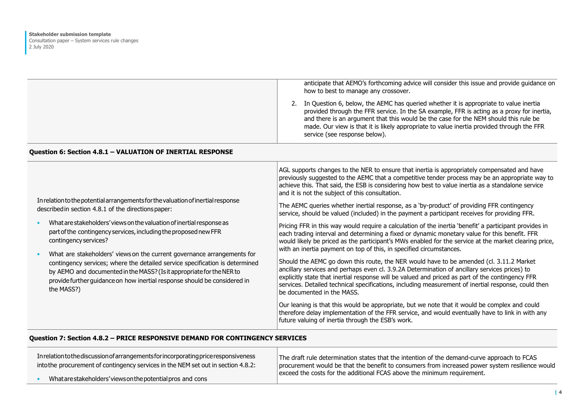|                                                                                                                                                                                                                                                                                                                                                                                                                                                                                                                                                                                                                                                           | anticipate that AEMO's forthcoming advice will consider this issue and provide guidance on<br>how to best to manage any crossover.<br>2. In Question 6, below, the AEMC has queried whether it is appropriate to value inertia<br>provided through the FFR service. In the SA example, FFR is acting as a proxy for inertia,<br>and there is an argument that this would be the case for the NEM should this rule be<br>made. Our view is that it is likely appropriate to value inertia provided through the FFR<br>service (see response below).                                                                                                                                                                                                                                                                                                                                                                                                                                                                                                                                                                                                                                                                                                                                                                                                                                                                                                                                                                                                                                                                                               |
|-----------------------------------------------------------------------------------------------------------------------------------------------------------------------------------------------------------------------------------------------------------------------------------------------------------------------------------------------------------------------------------------------------------------------------------------------------------------------------------------------------------------------------------------------------------------------------------------------------------------------------------------------------------|--------------------------------------------------------------------------------------------------------------------------------------------------------------------------------------------------------------------------------------------------------------------------------------------------------------------------------------------------------------------------------------------------------------------------------------------------------------------------------------------------------------------------------------------------------------------------------------------------------------------------------------------------------------------------------------------------------------------------------------------------------------------------------------------------------------------------------------------------------------------------------------------------------------------------------------------------------------------------------------------------------------------------------------------------------------------------------------------------------------------------------------------------------------------------------------------------------------------------------------------------------------------------------------------------------------------------------------------------------------------------------------------------------------------------------------------------------------------------------------------------------------------------------------------------------------------------------------------------------------------------------------------------|
| Question 6: Section 4.8.1 - VALUATION OF INERTIAL RESPONSE                                                                                                                                                                                                                                                                                                                                                                                                                                                                                                                                                                                                |                                                                                                                                                                                                                                                                                                                                                                                                                                                                                                                                                                                                                                                                                                                                                                                                                                                                                                                                                                                                                                                                                                                                                                                                                                                                                                                                                                                                                                                                                                                                                                                                                                                  |
| In relation to the potential arrangements for the valuation of inertial response<br>described in section 4.8.1 of the directions paper:<br>What are stakeholders' views on the valuation of inertial response as<br>part of the contingency services, including the proposed new FFR<br>contingency services?<br>What are stakeholders' views on the current governance arrangements for<br>$\bullet$<br>contingency services; where the detailed service specification is determined<br>by AEMO and documented in the MASS? (Is it appropriate for the NER to<br>provide further quidance on how inertial response should be considered in<br>the MASS?) | AGL supports changes to the NER to ensure that inertia is appropriately compensated and have<br>previously suggested to the AEMC that a competitive tender process may be an appropriate way to<br>achieve this. That said, the ESB is considering how best to value inertia as a standalone service<br>and it is not the subject of this consultation.<br>The AEMC queries whether inertial response, as a 'by-product' of providing FFR contingency<br>service, should be valued (included) in the payment a participant receives for providing FFR.<br>Pricing FFR in this way would require a calculation of the inertia 'benefit' a participant provides in<br>each trading interval and determining a fixed or dynamic monetary value for this benefit. FFR<br>would likely be priced as the participant's MWs enabled for the service at the market clearing price,<br>with an inertia payment on top of this, in specified circumstances.<br>Should the AEMC go down this route, the NER would have to be amended (cl. 3.11.2 Market<br>ancillary services and perhaps even cl. 3.9.2A Determination of ancillary services prices) to<br>explicitly state that inertial response will be valued and priced as part of the contingency FFR<br>services. Detailed technical specifications, including measurement of inertial response, could then<br>be documented in the MASS.<br>Our leaning is that this would be appropriate, but we note that it would be complex and could<br>therefore delay implementation of the FFR service, and would eventually have to link in with any<br>future valuing of inertia through the ESB's work. |

## **Question 7: Section 4.8.2 – PRICE RESPONSIVE DEMAND FOR CONTINGENCY SERVICES**

| In relation to the discussion of arrangements for incorporating price responsiveness<br>into the procurement of contingency services in the NEM set out in section 4.8.2: | The draft rule determination states that the intention of the demand-curve approach to FCAS<br>procurement would be that the benefit to consumers from increased power system resilience would<br>exceed the costs for the additional FCAS above the minimum requirement. |
|---------------------------------------------------------------------------------------------------------------------------------------------------------------------------|---------------------------------------------------------------------------------------------------------------------------------------------------------------------------------------------------------------------------------------------------------------------------|
| What are stakeholders' views on the potential pros and cons                                                                                                               |                                                                                                                                                                                                                                                                           |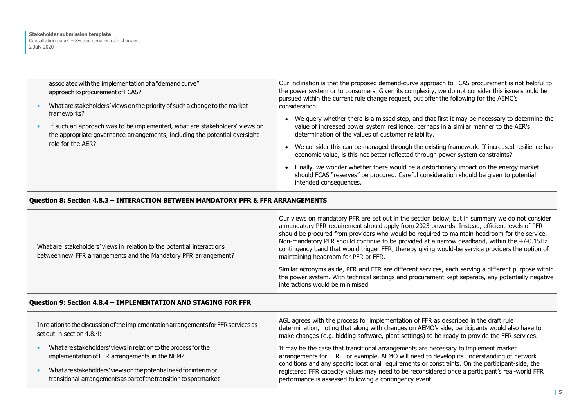| associated with the implementation of a "demand curve"<br>approach to procurement of FCAS?                                                               | Our inclination is that the proposed demand-curve approach to FCAS procurement is not helpful to<br>the power system or to consumers. Given its complexity, we do not consider this issue should be<br>pursued within the current rule change request, but offer the following for the AEMC's |
|----------------------------------------------------------------------------------------------------------------------------------------------------------|-----------------------------------------------------------------------------------------------------------------------------------------------------------------------------------------------------------------------------------------------------------------------------------------------|
| What are stakeholders' views on the priority of such a change to the market<br>frameworks?                                                               | consideration:                                                                                                                                                                                                                                                                                |
| If such an approach was to be implemented, what are stakeholders' views on<br>the appropriate governance arrangements, including the potential oversight | We query whether there is a missed step, and that first it may be necessary to determine the<br>value of increased power system resilience, perhaps in a similar manner to the AER's<br>determination of the values of customer reliability.                                                  |
| role for the AER?                                                                                                                                        | We consider this can be managed through the existing framework. If increased resilience has<br>economic value, is this not better reflected through power system constraints?                                                                                                                 |
|                                                                                                                                                          | Finally, we wonder whether there would be a distortionary impact on the energy market<br>should FCAS "reserves" be procured. Careful consideration should be given to potential<br>intended consequences.                                                                                     |

#### **Question 8: Section 4.8.3 – INTERACTION BETWEEN MANDATORY PFR & FFR ARRANGEMENTS**

| What are stakeholders' views in relation to the potential interactions<br>between new FFR arrangements and the Mandatory PFR arrangement? | Our views on mandatory PFR are set out in the section below, but in summary we do not consider<br>a mandatory PFR requirement should apply from 2023 onwards. Instead, efficient levels of PFR<br>should be procured from providers who would be required to maintain headroom for the service.<br>Non-mandatory PFR should continue to be provided at a narrow deadband, within the +/-0.15Hz<br>contingency band that would trigger FFR, thereby giving would-be service providers the option of<br>maintaining headroom for PFR or FFR. |
|-------------------------------------------------------------------------------------------------------------------------------------------|--------------------------------------------------------------------------------------------------------------------------------------------------------------------------------------------------------------------------------------------------------------------------------------------------------------------------------------------------------------------------------------------------------------------------------------------------------------------------------------------------------------------------------------------|
|                                                                                                                                           | Similar acronyms aside, PFR and FFR are different services, each serving a different purpose within<br>the power system. With technical settings and procurement kept separate, any potentially negative<br>interactions would be minimised.                                                                                                                                                                                                                                                                                               |

#### **Question 9: Section 4.8.4 – IMPLEMENTATION AND STAGING FOR FFR**

| In relation to the discussion of the implementation arrangements for FFR services as<br>set out in section 4.8.4:                       | AGL agrees with the process for implementation of FFR as described in the draft rule<br>determination, noting that along with changes on AEMO's side, participants would also have to<br>make changes (e.g. bidding software, plant settings) to be ready to provide the FFR services. |
|-----------------------------------------------------------------------------------------------------------------------------------------|----------------------------------------------------------------------------------------------------------------------------------------------------------------------------------------------------------------------------------------------------------------------------------------|
| What are stakeholders' views in relation to the process for the<br>implementation of FFR arrangements in the NEM?                       | It may be the case that transitional arrangements are necessary to implement market<br>arrangements for FFR. For example, AEMO will need to develop its understanding of network                                                                                                       |
| What are stakeholders' views on the potential need for interim or<br>transitional arrangements as part of the transition to spot market | conditions and any specific locational requirements or constraints. On the participant-side, the<br>registered FFR capacity values may need to be reconsidered once a participant's real-world FFR<br>performance is assessed following a contingency event.                           |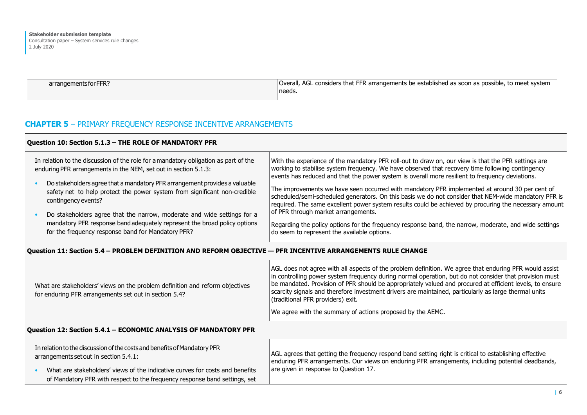| arrangements for FFR? | Overall, AGL considers that FFR arrangements be established as soon as possible, to meet system |
|-----------------------|-------------------------------------------------------------------------------------------------|
| needs.                |                                                                                                 |

# **CHAPTER 5** – PRIMARY FREQUENCY RESPONSE INCENTIVE ARRANGEMENTS

#### **Question 10: Section 5.1.3 – THE ROLE OF MANDATORY PFR**  In relation to the discussion of the role for a mandatory obligation as part of the enduring PFR arrangements in the NEM, set out in section 5.1.3: • Do stakeholders agree that a mandatory PFR arrangement provides a valuable safety net to help protect the power system from significant non-credible contingency events? • Do stakeholders agree that the narrow, moderate and wide settings for a mandatory PFR response band adequately represent the broad policy options for the frequency response band for Mandatory PFR? With the experience of the mandatory PFR roll-out to draw on, our view is that the PFR settings are working to stabilise system frequency. We have observed that recovery time following contingency events has reduced and that the power system is overall more resilient to frequency deviations. The improvements we have seen occurred with mandatory PFR implemented at around 30 per cent of scheduled/semi-scheduled generators. On this basis we do not consider that NEM-wide mandatory PFR is required. The same excellent power system results could be achieved by procuring the necessary amount of PFR through market arrangements. Regarding the policy options for the frequency response band, the narrow, moderate, and wide settings do seem to represent the available options.

#### **Question 11: Section 5.4 – PROBLEM DEFINITION AND REFORM OBJECTIVE — PFR INCENTIVE ARRANGEMENTS RULE CHANGE**

| What are stakeholders' views on the problem definition and reform objectives<br>for enduring PFR arrangements set out in section 5.4? | AGL does not agree with all aspects of the problem definition. We agree that enduring PFR would assist<br>in controlling power system frequency during normal operation, but do not consider that provision must<br>be mandated. Provision of PFR should be appropriately valued and procured at efficient levels, to ensure<br>scarcity signals and therefore investment drivers are maintained, particularly as large thermal units<br>(traditional PFR providers) exit.<br>We agree with the summary of actions proposed by the AEMC. |
|---------------------------------------------------------------------------------------------------------------------------------------|------------------------------------------------------------------------------------------------------------------------------------------------------------------------------------------------------------------------------------------------------------------------------------------------------------------------------------------------------------------------------------------------------------------------------------------------------------------------------------------------------------------------------------------|
|                                                                                                                                       |                                                                                                                                                                                                                                                                                                                                                                                                                                                                                                                                          |

#### **Question 12: Section 5.4.1 – ECONOMIC ANALYSIS OF MANDATORY PFR**

| In relation to the discussion of the costs and benefits of Mandatory PFR<br>arrangements set out in section 5.4.1: |                                                                              | AGL agrees that getting the frequency respond band setting right is critical to establishing effective<br>enduring PFR arrangements. Our views on enduring PFR arrangements, including potential deadbands, |
|--------------------------------------------------------------------------------------------------------------------|------------------------------------------------------------------------------|-------------------------------------------------------------------------------------------------------------------------------------------------------------------------------------------------------------|
|                                                                                                                    | What are stakeholders' views of the indicative curves for costs and benefits | are given in response to Question 17.                                                                                                                                                                       |
|                                                                                                                    | of Mandatory PFR with respect to the frequency response band settings, set   |                                                                                                                                                                                                             |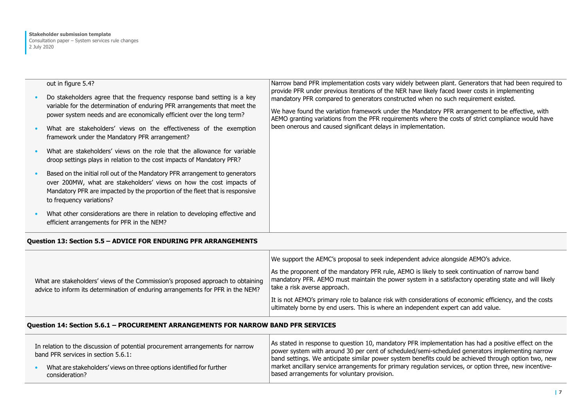| out in figure 5.4?<br>Do stakeholders agree that the frequency response band setting is a key<br>variable for the determination of enduring PFR arrangements that meet the<br>power system needs and are economically efficient over the long term?<br>What are stakeholders' views on the effectiveness of the exemption<br>framework under the Mandatory PFR arrangement? | Narrow band PFR implementation costs vary widely between plant. Generators that had been required to<br>provide PFR under previous iterations of the NER have likely faced lower costs in implementing<br>mandatory PFR compared to generators constructed when no such requirement existed.<br>We have found the variation framework under the Mandatory PFR arrangement to be effective, with<br>AEMO granting variations from the PFR requirements where the costs of strict compliance would have<br>been onerous and caused significant delays in implementation. |
|-----------------------------------------------------------------------------------------------------------------------------------------------------------------------------------------------------------------------------------------------------------------------------------------------------------------------------------------------------------------------------|------------------------------------------------------------------------------------------------------------------------------------------------------------------------------------------------------------------------------------------------------------------------------------------------------------------------------------------------------------------------------------------------------------------------------------------------------------------------------------------------------------------------------------------------------------------------|
| What are stakeholders' views on the role that the allowance for variable<br>droop settings plays in relation to the cost impacts of Mandatory PFR?                                                                                                                                                                                                                          |                                                                                                                                                                                                                                                                                                                                                                                                                                                                                                                                                                        |
| Based on the initial roll out of the Mandatory PFR arrangement to generators<br>over 200MW, what are stakeholders' views on how the cost impacts of<br>Mandatory PFR are impacted by the proportion of the fleet that is responsive<br>to frequency variations?                                                                                                             |                                                                                                                                                                                                                                                                                                                                                                                                                                                                                                                                                                        |
| What other considerations are there in relation to developing effective and<br>efficient arrangements for PFR in the NEM?                                                                                                                                                                                                                                                   |                                                                                                                                                                                                                                                                                                                                                                                                                                                                                                                                                                        |

# **Question 13: Section 5.5 – ADVICE FOR ENDURING PFR ARRANGEMENTS**

| What are stakeholders' views of the Commission's proposed approach to obtaining<br>advice to inform its determination of enduring arrangements for PFR in the NEM? | We support the AEMC's proposal to seek independent advice alongside AEMO's advice.<br>As the proponent of the mandatory PFR rule, AEMO is likely to seek continuation of narrow band<br>mandatory PFR. AEMO must maintain the power system in a satisfactory operating state and will likely<br>take a risk averse approach.<br>It is not AEMO's primary role to balance risk with considerations of economic efficiency, and the costs<br>ultimately borne by end users. This is where an independent expert can add value. |
|--------------------------------------------------------------------------------------------------------------------------------------------------------------------|------------------------------------------------------------------------------------------------------------------------------------------------------------------------------------------------------------------------------------------------------------------------------------------------------------------------------------------------------------------------------------------------------------------------------------------------------------------------------------------------------------------------------|
|--------------------------------------------------------------------------------------------------------------------------------------------------------------------|------------------------------------------------------------------------------------------------------------------------------------------------------------------------------------------------------------------------------------------------------------------------------------------------------------------------------------------------------------------------------------------------------------------------------------------------------------------------------------------------------------------------------|

# **Question 14: Section 5.6.1 – PROCUREMENT ARRANGEMENTS FOR NARROW BAND PFR SERVICES**

| In relation to the discussion of potential procurement arrangements for narrow<br>band PFR services in section 5.6.1: | As stated in response to question 10, mandatory PFR implementation has had a positive effect on the<br>power system with around 30 per cent of scheduled/semi-scheduled generators implementing narrow<br>band settings. We anticipate similar power system benefits could be achieved through option two, new |
|-----------------------------------------------------------------------------------------------------------------------|----------------------------------------------------------------------------------------------------------------------------------------------------------------------------------------------------------------------------------------------------------------------------------------------------------------|
| What are stakeholders' views on three options identified for further                                                  | market ancillary service arrangements for primary regulation services, or option three, new incentive-                                                                                                                                                                                                         |
| consideration?                                                                                                        | based arrangements for voluntary provision.                                                                                                                                                                                                                                                                    |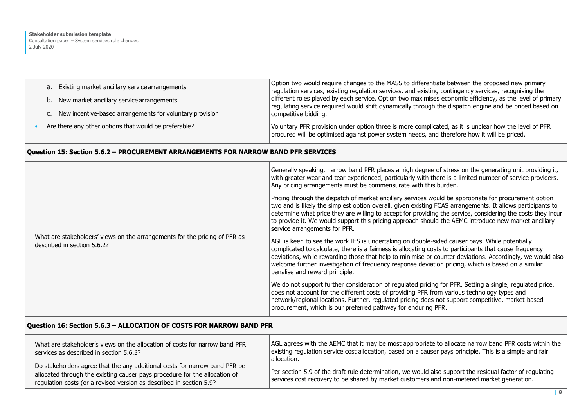| a. Existing market ancillary service arrangements           | Option two would require changes to the MASS to differentiate between the proposed new primary<br>regulation services, existing regulation services, and existing contingency services, recognising the<br>different roles played by each service. Option two maximises economic efficiency, as the level of primary<br>regulating service required would shift dynamically through the dispatch engine and be priced based on<br>competitive bidding. |
|-------------------------------------------------------------|--------------------------------------------------------------------------------------------------------------------------------------------------------------------------------------------------------------------------------------------------------------------------------------------------------------------------------------------------------------------------------------------------------------------------------------------------------|
| b. New market ancillary service arrangements                |                                                                                                                                                                                                                                                                                                                                                                                                                                                        |
| c. New incentive-based arrangements for voluntary provision |                                                                                                                                                                                                                                                                                                                                                                                                                                                        |
| Are there any other options that would be preferable?       | Voluntary PFR provision under option three is more complicated, as it is unclear how the level of PFR<br>procured will be optimised against power system needs, and therefore how it will be priced.                                                                                                                                                                                                                                                   |

# **Question 15: Section 5.6.2 – PROCUREMENT ARRANGEMENTS FOR NARROW BAND PFR SERVICES**

|                                                                                                           | Generally speaking, narrow band PFR places a high degree of stress on the generating unit providing it,<br>with greater wear and tear experienced, particularly with there is a limited number of service providers.<br>Any pricing arrangements must be commensurate with this burden.                                                                                                                                                                                     |
|-----------------------------------------------------------------------------------------------------------|-----------------------------------------------------------------------------------------------------------------------------------------------------------------------------------------------------------------------------------------------------------------------------------------------------------------------------------------------------------------------------------------------------------------------------------------------------------------------------|
|                                                                                                           | Pricing through the dispatch of market ancillary services would be appropriate for procurement option<br>two and is likely the simplest option overall, given existing FCAS arrangements. It allows participants to<br>determine what price they are willing to accept for providing the service, considering the costs they incur<br>to provide it. We would support this pricing approach should the AEMC introduce new market ancillary<br>service arrangements for PFR. |
| What are stakeholders' views on the arrangements for the pricing of PFR as<br>described in section 5.6.2? | AGL is keen to see the work IES is undertaking on double-sided causer pays. While potentially<br>complicated to calculate, there is a fairness is allocating costs to participants that cause frequency<br>deviations, while rewarding those that help to minimise or counter deviations. Accordingly, we would also<br>welcome further investigation of frequency response deviation pricing, which is based on a similar<br>penalise and reward principle.                |
|                                                                                                           | We do not support further consideration of regulated pricing for PFR. Setting a single, regulated price,<br>does not account for the different costs of providing PFR from various technology types and<br>network/regional locations. Further, regulated pricing does not support competitive, market-based<br>procurement, which is our preferred pathway for enduring PFR.                                                                                               |

### **Question 16: Section 5.6.3 – ALLOCATION OF COSTS FOR NARROW BAND PFR**

| What are stakeholder's views on the allocation of costs for narrow band PFR<br>services as described in section 5.6.3?                                                                                                          | AGL agrees with the AEMC that it may be most appropriate to allocate narrow band PFR costs within the<br>existing regulation service cost allocation, based on a causer pays principle. This is a simple and fair<br>allocation. |
|---------------------------------------------------------------------------------------------------------------------------------------------------------------------------------------------------------------------------------|----------------------------------------------------------------------------------------------------------------------------------------------------------------------------------------------------------------------------------|
| Do stakeholders agree that the any additional costs for narrow band PFR be<br>allocated through the existing causer pays procedure for the allocation of<br>regulation costs (or a revised version as described in section 5.9? | Per section 5.9 of the draft rule determination, we would also support the residual factor of regulating<br>services cost recovery to be shared by market customers and non-metered market generation.                           |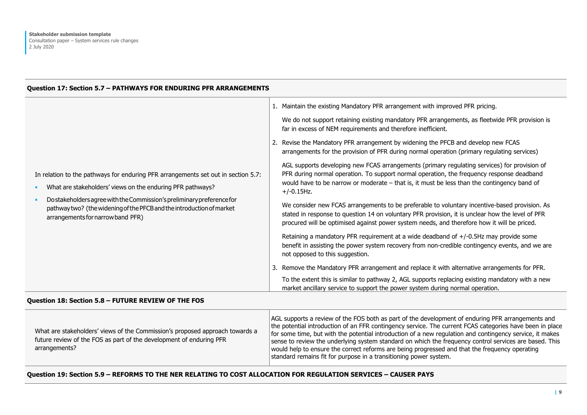#### **Question 17: Section 5.7 – PATHWAYS FOR ENDURING PFR ARRANGEMENTS**

|                                                                                                                                                                                                                                                                                                                                         | 1. Maintain the existing Mandatory PFR arrangement with improved PFR pricing.                                                                                                                                                                                                                               |
|-----------------------------------------------------------------------------------------------------------------------------------------------------------------------------------------------------------------------------------------------------------------------------------------------------------------------------------------|-------------------------------------------------------------------------------------------------------------------------------------------------------------------------------------------------------------------------------------------------------------------------------------------------------------|
|                                                                                                                                                                                                                                                                                                                                         | We do not support retaining existing mandatory PFR arrangements, as fleetwide PFR provision is<br>far in excess of NEM requirements and therefore inefficient.                                                                                                                                              |
|                                                                                                                                                                                                                                                                                                                                         | 2. Revise the Mandatory PFR arrangement by widening the PFCB and develop new FCAS<br>arrangements for the provision of PFR during normal operation (primary regulating services)                                                                                                                            |
| In relation to the pathways for enduring PFR arrangements set out in section 5.7:<br>What are stakeholders' views on the enduring PFR pathways?<br>Do stakeholders agree with the Commission's preliminary preference for<br>pathway two? (the widening of the PFCB and the introduction of market<br>arrangements for narrow band PFR) | AGL supports developing new FCAS arrangements (primary regulating services) for provision of<br>PFR during normal operation. To support normal operation, the frequency response deadband<br>would have to be narrow or moderate $-$ that is, it must be less than the contingency band of<br>$+/-0.15$ Hz. |
|                                                                                                                                                                                                                                                                                                                                         | We consider new FCAS arrangements to be preferable to voluntary incentive-based provision. As<br>stated in response to question 14 on voluntary PFR provision, it is unclear how the level of PFR<br>procured will be optimised against power system needs, and therefore how it will be priced.            |
|                                                                                                                                                                                                                                                                                                                                         | Retaining a mandatory PFR requirement at a wide deadband of +/-0.5Hz may provide some<br>benefit in assisting the power system recovery from non-credible contingency events, and we are<br>not opposed to this suggestion.                                                                                 |
|                                                                                                                                                                                                                                                                                                                                         | 3. Remove the Mandatory PFR arrangement and replace it with alternative arrangements for PFR.                                                                                                                                                                                                               |
|                                                                                                                                                                                                                                                                                                                                         | To the extent this is similar to pathway 2, AGL supports replacing existing mandatory with a new<br>market ancillary service to support the power system during normal operation.                                                                                                                           |

#### **Question 18: Section 5.8 – FUTURE REVIEW OF THE FOS**

| What are stakeholders' views of the Commission's proposed approach towards a<br>future review of the FOS as part of the development of enduring PFR<br>arrangements? | AGL supports a review of the FOS both as part of the development of enduring PFR arrangements and<br>the potential introduction of an FFR contingency service. The current FCAS categories have been in place<br>for some time, but with the potential introduction of a new regulation and contingency service, it makes<br>sense to review the underlying system standard on which the frequency control services are based. This<br>would help to ensure the correct reforms are being progressed and that the frequency operating<br>standard remains fit for purpose in a transitioning power system. |
|----------------------------------------------------------------------------------------------------------------------------------------------------------------------|------------------------------------------------------------------------------------------------------------------------------------------------------------------------------------------------------------------------------------------------------------------------------------------------------------------------------------------------------------------------------------------------------------------------------------------------------------------------------------------------------------------------------------------------------------------------------------------------------------|
|----------------------------------------------------------------------------------------------------------------------------------------------------------------------|------------------------------------------------------------------------------------------------------------------------------------------------------------------------------------------------------------------------------------------------------------------------------------------------------------------------------------------------------------------------------------------------------------------------------------------------------------------------------------------------------------------------------------------------------------------------------------------------------------|

#### **Question 19: Section 5.9 – REFORMS TO THE NER RELATING TO COST ALLOCATION FOR REGULATION SERVICES – CAUSER PAYS**